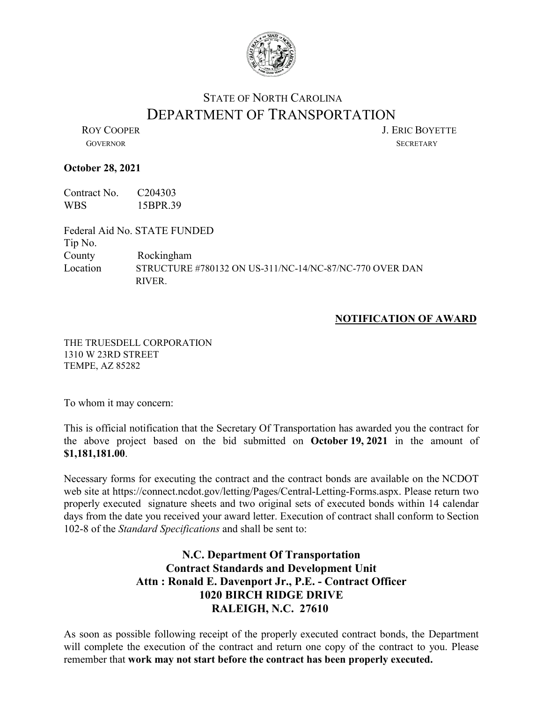

## STATE OF NORTH CAROLINA DEPARTMENT OF TRANSPORTATION<br>LERIC BOYETTE

GOVERNOR SECRETARY

## **October 28, 2021**

Contract No. C204303 WBS 15BPR.39

Federal Aid No. STATE FUNDED Tip No. County Rockingham Location STRUCTURE #780132 ON US-311/NC-14/NC-87/NC-770 OVER DAN RIVER.

## **NOTIFICATION OF AWARD**

THE TRUESDELL CORPORATION 1310 W 23RD STREET TEMPE, AZ 85282

To whom it may concern:

This is official notification that the Secretary Of Transportation has awarded you the contract for the above project based on the bid submitted on **October 19, 2021** in the amount of **\$1,181,181.00**.

Necessary forms for executing the contract and the contract bonds are available on the NCDOT web site at https://connect.ncdot.gov/letting/Pages/Central-Letting-Forms.aspx. Please return two properly executed signature sheets and two original sets of executed bonds within 14 calendar days from the date you received your award letter. Execution of contract shall conform to Section 102-8 of the *Standard Specifications* and shall be sent to:

## **N.C. Department Of Transportation Contract Standards and Development Unit Attn : Ronald E. Davenport Jr., P.E. - Contract Officer 1020 BIRCH RIDGE DRIVE RALEIGH, N.C. 27610**

As soon as possible following receipt of the properly executed contract bonds, the Department will complete the execution of the contract and return one copy of the contract to you. Please remember that **work may not start before the contract has been properly executed.**